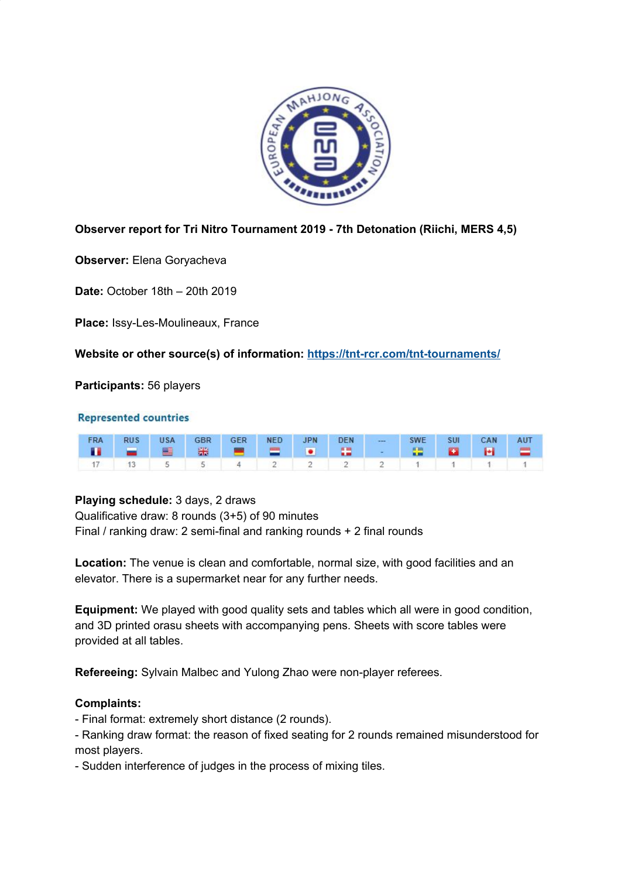

# **Observer report for Tri Nitro Tournament 2019 - 7th Detonation (Riichi, MERS 4,5)**

**Observer:** Elena Goryacheva

**Date:** October 18th – 20th 2019

**Place:** Issy-Les-Moulineaux, France

**Website or other source(s) of information: <https://tnt-rcr.com/tnt-tournaments/>**

**Participants:** 56 players

#### **Represented countries**

|  |  |  |  | FRA RUS USA GBR GER NED JPN DEN --- SWE SUI CAN AUT |  |  |
|--|--|--|--|-----------------------------------------------------|--|--|
|  |  |  |  |                                                     |  |  |
|  |  |  |  | $17$ 13 5 5 4 2 2 2 2 1 1 1 1 1                     |  |  |

### **Playing schedule:** 3 days, 2 draws

Qualificative draw: 8 rounds (3+5) of 90 minutes Final / ranking draw: 2 semi-final and ranking rounds + 2 final rounds

**Location:** The venue is clean and comfortable, normal size, with good facilities and an elevator. There is a supermarket near for any further needs.

**Equipment:** We played with good quality sets and tables which all were in good condition, and 3D printed orasu sheets with accompanying pens. Sheets with score tables were provided at all tables.

**Refereeing:** Sylvain Malbec and Yulong Zhao were non-player referees.

### **Complaints:**

- Final format: extremely short distance (2 rounds).

- Ranking draw format: the reason of fixed seating for 2 rounds remained misunderstood for most players.

- Sudden interference of judges in the process of mixing tiles.